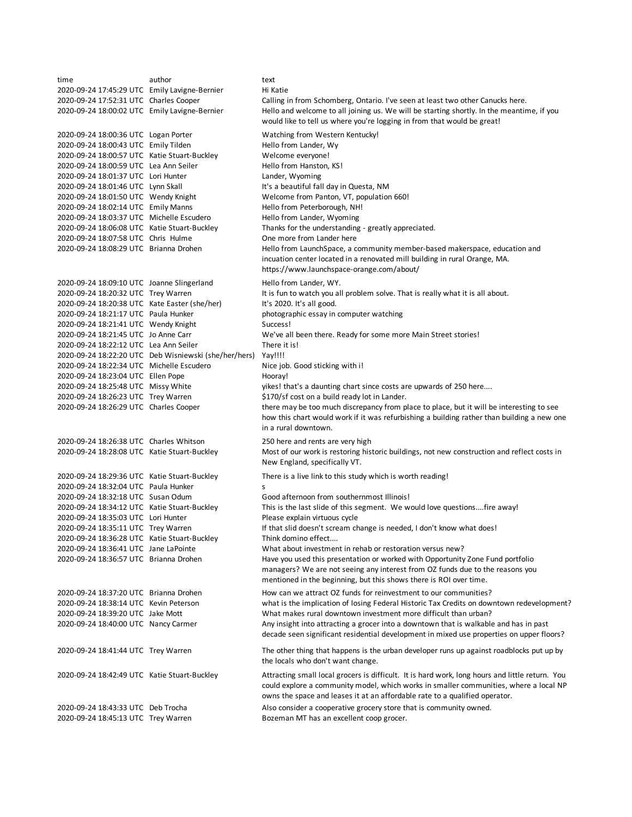time author text 2020-09-24 17:45:29 UTC Emily Lavigne-Bernier Hi Katie 2020-09-24 17:52:31 UTC Charles Cooper Calling in from Schomberg, Ontario. I've seen at least two other Canucks here. 2020-09-24 18:00:02 UTC Emily Lavigne-Bernier 2020-09-24 18:00:36 UTC Logan Porter Watching from Western Kentucky! 2020-09-24 18:00:43 UTC Emily Tilden Hello from Lander, Wy 2020-09-24 18:00:57 UTC Katie Stuart-Buckley Welcome everyone! 2020-09-24 18:00:59 UTC Lea Ann Seiler Hello from Hanston, KS! 2020-09-24 18:01:37 UTC Lori Hunter Lander, Wyoming 2020-09-24 18:01:46 UTC Lynn Skall It's a beautiful fall day in Questa, NM 2020-09-24 18:01:50 UTC Wendy Knight Welcome from Panton, VT, population 660! 2020-09-24 18:02:14 UTC Emily Manns Hello from Peterborough, NH! 2020-09-24 18:03:37 UTC Michelle Escudero Hello from Lander, Wyoming 2020-09-24 18:06:08 UTC Katie Stuart-Buckley Thanks for the understanding - greatly appreciated. 2020-09-24 18:07:58 UTC Chris Hulme One more from Lander here 2020-09-24 18:08:29 UTC Brianna Drohen 2020-09-24 18:09:10 UTC Joanne Slingerland Hello from Lander, WY. 2020-09-24 18:20:32 UTC Trey Warren It is fun to watch you all problem solve. That is really what it is all about. 2020-09-24 18:20:38 UTC Kate Easter (she/her) It's 2020. It's all good. 2020-09-24 18:21:17 UTC Paula Hunker photographic essay in computer watching 2020-09-24 18:21:41 UTC Wendy Knight Success! 2020-09-24 18:21:45 UTC Jo Anne Carr We've all been there. Ready for some more Main Street stories! 2020-09-24 18:22:12 UTC Lea Ann Seiler There it is! 2020-09-24 18:22:20 UTC Deb Wisniewski (she/her/hers) Yay!!!! 2020-09-24 18:22:34 UTC Michelle Escudero Nice job. Good sticking with i! 2020-09-24 18:23:04 UTC Ellen Pope Hooray! 2020-09-24 18:25:48 UTC Missy White yikes! that's a daunting chart since costs are upwards of 250 here.... 2020-09-24 18:26:23 UTC Trey Warren \$170/sf cost on a build ready lot in Lander. 2020-09-24 18:26:29 UTC Charles Cooper 2020-09-24 18:26:38 UTC Charles Whitson 250 here and rents are very high 2020-09-24 18:28:08 UTC Katie Stuart-Buckley 2020-09-24 18:29:36 UTC Katie Stuart-Buckley There is a live link to this study which is worth reading! 2020-09-24 18:32:04 UTC Paula Hunker s 2020-09-24 18:32:18 UTC Susan Odum Good afternoon from southernmost Illinois! 2020-09-24 18:34:12 UTC Katie Stuart-Buckley This is the last slide of this segment. We would love questions....fire away! 2020-09-24 18:35:03 UTC Lori Hunter Please explain virtuous cycle 2020-09-24 18:35:11 UTC Trey Warren If that slid doesn't scream change is needed, I don't know what does! 2020-09-24 18:36:28 UTC Katie Stuart-Buckley Think domino effect.... 2020-09-24 18:36:41 UTC Jane LaPointe What about investment in rehab or restoration versus new? 2020-09-24 18:36:57 UTC Brianna Drohen 2020-09-24 18:37:20 UTC Brianna Drohen How can we attract OZ funds for reinvestment to our communities? 2020-09-24 18:38:14 UTC Kevin Peterson what is the implication of losing Federal Historic Tax Credits on downtown redevelopment? 2020-09-24 18:39:20 UTC Jake Mott What makes rural downtown investment more difficult than urban? 2020-09-24 18:40:00 UTC Nancy Carmer 2020-09-24 18:41:44 UTC Trey Warren 2020-09-24 18:42:49 UTC Katie Stuart-Buckley 2020-09-24 18:43:33 UTC Deb Trocha Also consider a cooperative grocery store that is community owned. 2020-09-24 18:45:13 UTC Trey Warren Bozeman MT has an excellent coop grocer. The other thing that happens is the urban developer runs up against roadblocks put up by the locals who don't want change. Attracting small local grocers is difficult. It is hard work, long hours and little return. You could explore a community model, which works in smaller communities, where a local NP owns the space and leases it at an affordable rate to a qualified operator. Hello and welcome to all joining us. We will be starting shortly. In the meantime, if you would like to tell us where you're logging in from that would be great! Hello from LaunchSpace, a community member-based makerspace, education and incuation center located in a renovated mill building in rural Orange, MA. https://www.launchspace-orange.com/about/ there may be too much discrepancy from place to place, but it will be interesting to see how this chart would work if it was refurbishing a building rather than building a new one in a rural downtown. Most of our work is restoring historic buildings, not new construction and reflect costs in New England, specifically VT. Have you used this presentation or worked with Opportunity Zone Fund portfolio managers? We are not seeing any interest from OZ funds due to the reasons you mentioned in the beginning, but this shows there is ROI over time. Any insight into attracting a grocer into a downtown that is walkable and has in past decade seen significant residential development in mixed use properties on upper floors?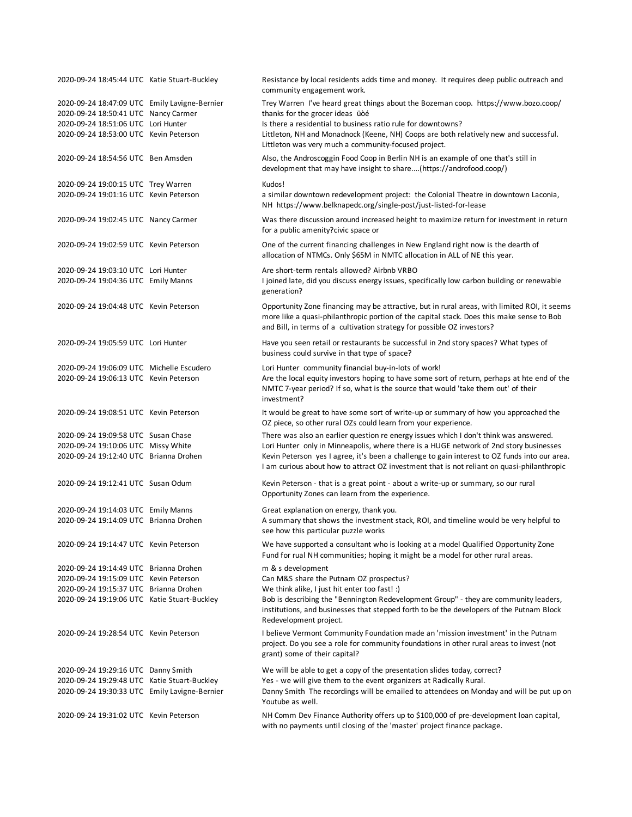| 2020-09-24 18:45:44 UTC Katie Stuart-Buckley  | Resistance by local residents adds time and money. It requires deep public outreach and<br>community engagement work.                                                                                                                                                |
|-----------------------------------------------|----------------------------------------------------------------------------------------------------------------------------------------------------------------------------------------------------------------------------------------------------------------------|
| 2020-09-24 18:47:09 UTC Emily Lavigne-Bernier | Trey Warren I've heard great things about the Bozeman coop. https://www.bozo.coop/                                                                                                                                                                                   |
| 2020-09-24 18:50:41 UTC Nancy Carmer          | thanks for the grocer ideas üòé                                                                                                                                                                                                                                      |
| 2020-09-24 18:51:06 UTC Lori Hunter           | Is there a residential to business ratio rule for downtowns?                                                                                                                                                                                                         |
| 2020-09-24 18:53:00 UTC Kevin Peterson        | Littleton, NH and Monadnock (Keene, NH) Coops are both relatively new and successful.                                                                                                                                                                                |
|                                               | Littleton was very much a community-focused project.                                                                                                                                                                                                                 |
| 2020-09-24 18:54:56 UTC Ben Amsden            | Also, the Androscoggin Food Coop in Berlin NH is an example of one that's still in<br>development that may have insight to share(https://androfood.coop/)                                                                                                            |
| 2020-09-24 19:00:15 UTC Trey Warren           | Kudos!                                                                                                                                                                                                                                                               |
| 2020-09-24 19:01:16 UTC Kevin Peterson        | a similar downtown redevelopment project: the Colonial Theatre in downtown Laconia,<br>NH https://www.belknapedc.org/single-post/just-listed-for-lease                                                                                                               |
| 2020-09-24 19:02:45 UTC Nancy Carmer          | Was there discussion around increased height to maximize return for investment in return<br>for a public amenity?civic space or                                                                                                                                      |
| 2020-09-24 19:02:59 UTC Kevin Peterson        | One of the current financing challenges in New England right now is the dearth of<br>allocation of NTMCs. Only \$65M in NMTC allocation in ALL of NE this year.                                                                                                      |
| 2020-09-24 19:03:10 UTC Lori Hunter           | Are short-term rentals allowed? Airbnb VRBO                                                                                                                                                                                                                          |
| 2020-09-24 19:04:36 UTC Emily Manns           | I joined late, did you discuss energy issues, specifically low carbon building or renewable<br>generation?                                                                                                                                                           |
| 2020-09-24 19:04:48 UTC Kevin Peterson        | Opportunity Zone financing may be attractive, but in rural areas, with limited ROI, it seems<br>more like a quasi-philanthropic portion of the capital stack. Does this make sense to Bob<br>and Bill, in terms of a cultivation strategy for possible OZ investors? |
| 2020-09-24 19:05:59 UTC Lori Hunter           | Have you seen retail or restaurants be successful in 2nd story spaces? What types of<br>business could survive in that type of space?                                                                                                                                |
| 2020-09-24 19:06:09 UTC Michelle Escudero     | Lori Hunter community financial buy-in-lots of work!                                                                                                                                                                                                                 |
| 2020-09-24 19:06:13 UTC Kevin Peterson        | Are the local equity investors hoping to have some sort of return, perhaps at hte end of the<br>NMTC 7-year period? If so, what is the source that would 'take them out' of their<br>investment?                                                                     |
| 2020-09-24 19:08:51 UTC Kevin Peterson        | It would be great to have some sort of write-up or summary of how you approached the<br>OZ piece, so other rural OZs could learn from your experience.                                                                                                               |
| 2020-09-24 19:09:58 UTC Susan Chase           | There was also an earlier question re energy issues which I don't think was answered.                                                                                                                                                                                |
| 2020-09-24 19:10:06 UTC Missy White           | Lori Hunter only in Minneapolis, where there is a HUGE network of 2nd story businesses                                                                                                                                                                               |
| 2020-09-24 19:12:40 UTC Brianna Drohen        | Kevin Peterson yes I agree, it's been a challenge to gain interest to OZ funds into our area.                                                                                                                                                                        |
|                                               | I am curious about how to attract OZ investment that is not reliant on quasi-philanthropic                                                                                                                                                                           |
| 2020-09-24 19:12:41 UTC Susan Odum            | Kevin Peterson - that is a great point - about a write-up or summary, so our rural<br>Opportunity Zones can learn from the experience.                                                                                                                               |
| 2020-09-24 19:14:03 UTC Emily Manns           | Great explanation on energy, thank you.                                                                                                                                                                                                                              |
| 2020-09-24 19:14:09 UTC Brianna Drohen        | A summary that shows the investment stack, ROI, and timeline would be very helpful to<br>see how this particular puzzle works                                                                                                                                        |
| 2020-09-24 19:14:47 UTC Kevin Peterson        | We have supported a consultant who is looking at a model Qualified Opportunity Zone<br>Fund for rual NH communities; hoping it might be a model for other rural areas.                                                                                               |
| 2020-09-24 19:14:49 UTC Brianna Drohen        | m & s development                                                                                                                                                                                                                                                    |
| 2020-09-24 19:15:09 UTC Kevin Peterson        | Can M&S share the Putnam OZ prospectus?                                                                                                                                                                                                                              |
| 2020-09-24 19:15:37 UTC Brianna Drohen        | We think alike, I just hit enter too fast! :)                                                                                                                                                                                                                        |
| 2020-09-24 19:19:06 UTC Katie Stuart-Buckley  | Bob is describing the "Bennington Redevelopment Group" - they are community leaders,<br>institutions, and businesses that stepped forth to be the developers of the Putnam Block<br>Redevelopment project.                                                           |
| 2020-09-24 19:28:54 UTC Kevin Peterson        | I believe Vermont Community Foundation made an 'mission investment' in the Putnam<br>project. Do you see a role for community foundations in other rural areas to invest (not<br>grant) some of their capital?                                                       |
| 2020-09-24 19:29:16 UTC Danny Smith           | We will be able to get a copy of the presentation slides today, correct?                                                                                                                                                                                             |
| 2020-09-24 19:29:48 UTC Katie Stuart-Buckley  | Yes - we will give them to the event organizers at Radically Rural.                                                                                                                                                                                                  |
| 2020-09-24 19:30:33 UTC Emily Lavigne-Bernier | Danny Smith The recordings will be emailed to attendees on Monday and will be put up on<br>Youtube as well.                                                                                                                                                          |
| 2020-09-24 19:31:02 UTC Kevin Peterson        | NH Comm Dev Finance Authority offers up to \$100,000 of pre-development loan capital,<br>with no payments until closing of the 'master' project finance package.                                                                                                     |